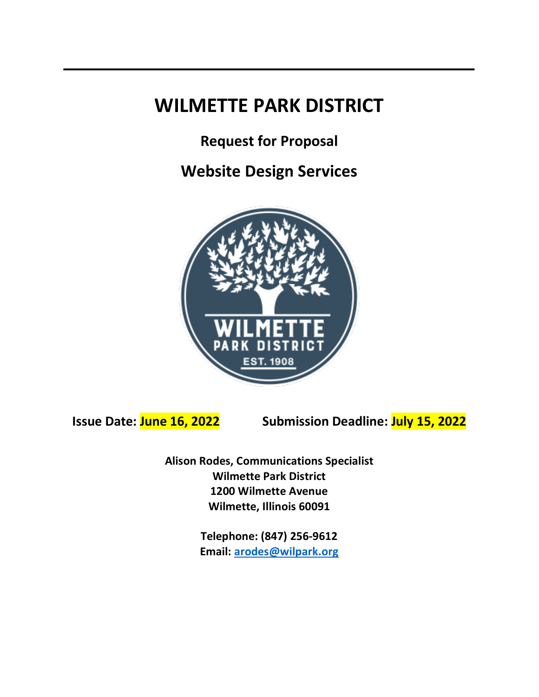# **WILMETTE PARK DISTRICT**

**Request for Proposal**

**Website Design Services**



**Issue Date: June 16, 2022 Submission Deadline: July 15, 2022**

**Alison Rodes, Communications Specialist Wilmette Park District 1200 Wilmette Avenue Wilmette, Illinois 60091**

> **Telephone: (847) 256-9612 Email: arodes@wilpark.org**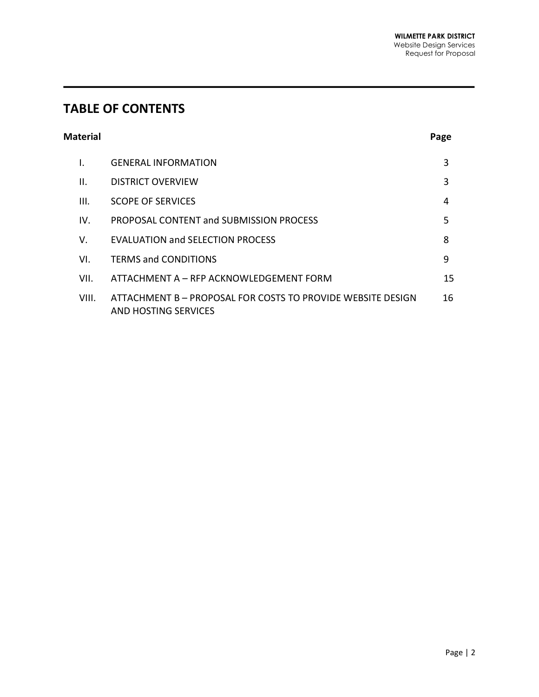# **TABLE OF CONTENTS**

| <b>Material</b> | Page |
|-----------------|------|
|                 |      |

| I.    | <b>GENERAL INFORMATION</b>                                                          | 3  |
|-------|-------------------------------------------------------------------------------------|----|
| Ш.    | <b>DISTRICT OVERVIEW</b>                                                            | 3  |
| III.  | <b>SCOPE OF SERVICES</b>                                                            | 4  |
| IV.   | PROPOSAL CONTENT and SUBMISSION PROCESS                                             | 5  |
| V.    | <b>EVALUATION and SELECTION PROCESS</b>                                             | 8  |
| VI.   | <b>TERMS and CONDITIONS</b>                                                         | 9  |
| VII.  | ATTACHMENT A – RFP ACKNOWLEDGEMENT FORM                                             | 15 |
| VIII. | ATTACHMENT B - PROPOSAL FOR COSTS TO PROVIDE WEBSITE DESIGN<br>AND HOSTING SERVICES | 16 |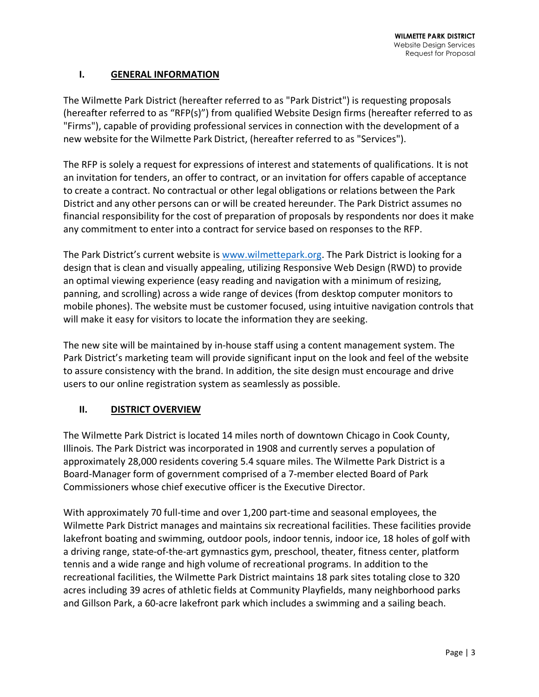#### **I. GENERAL INFORMATION**

The Wilmette Park District (hereafter referred to as "Park District") is requesting proposals (hereafter referred to as "RFP(s)") from qualified Website Design firms (hereafter referred to as "Firms"), capable of providing professional services in connection with the development of a new website for the Wilmette Park District, (hereafter referred to as "Services").

The RFP is solely a request for expressions of interest and statements of qualifications. It is not an invitation for tenders, an offer to contract, or an invitation for offers capable of acceptance to create a contract. No contractual or other legal obligations or relations between the Park District and any other persons can or will be created hereunder. The Park District assumes no financial responsibility for the cost of preparation of proposals by respondents nor does it make any commitment to enter into a contract for service based on responses to the RFP.

The Park District's current website is www.wilmettepark.org. The Park District is looking for a design that is clean and visually appealing, utilizing Responsive Web Design (RWD) to provide an optimal viewing experience (easy reading and navigation with a minimum of resizing, panning, and scrolling) across a wide range of devices (from desktop computer monitors to mobile phones). The website must be customer focused, using intuitive navigation controls that will make it easy for visitors to locate the information they are seeking.

The new site will be maintained by in-house staff using a content management system. The Park District's marketing team will provide significant input on the look and feel of the website to assure consistency with the brand. In addition, the site design must encourage and drive users to our online registration system as seamlessly as possible.

# **II. DISTRICT OVERVIEW**

The Wilmette Park District is located 14 miles north of downtown Chicago in Cook County, Illinois. The Park District was incorporated in 1908 and currently serves a population of approximately 28,000 residents covering 5.4 square miles. The Wilmette Park District is a Board-Manager form of government comprised of a 7-member elected Board of Park Commissioners whose chief executive officer is the Executive Director.

With approximately 70 full-time and over 1,200 part-time and seasonal employees, the Wilmette Park District manages and maintains six recreational facilities. These facilities provide lakefront boating and swimming, outdoor pools, indoor tennis, indoor ice, 18 holes of golf with a driving range, state-of-the-art gymnastics gym, preschool, theater, fitness center, platform tennis and a wide range and high volume of recreational programs. In addition to the recreational facilities, the Wilmette Park District maintains 18 park sites totaling close to 320 acres including 39 acres of athletic fields at Community Playfields, many neighborhood parks and Gillson Park, a 60-acre lakefront park which includes a swimming and a sailing beach.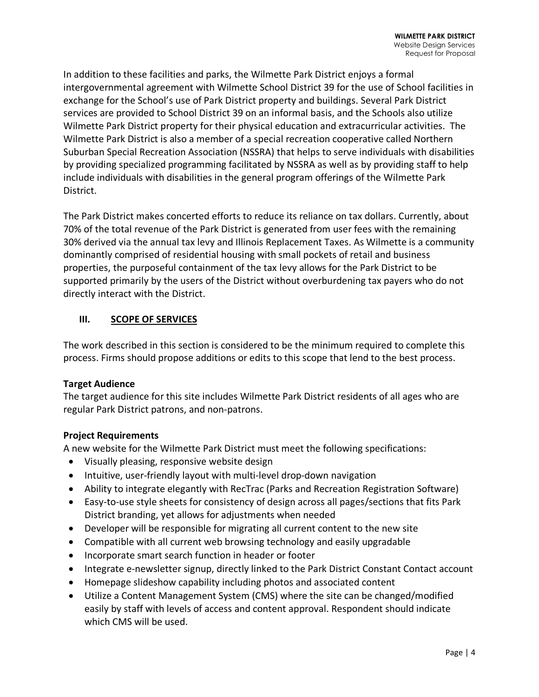In addition to these facilities and parks, the Wilmette Park District enjoys a formal intergovernmental agreement with Wilmette School District 39 for the use of School facilities in exchange for the School's use of Park District property and buildings. Several Park District services are provided to School District 39 on an informal basis, and the Schools also utilize Wilmette Park District property for their physical education and extracurricular activities. The Wilmette Park District is also a member of a special recreation cooperative called Northern Suburban Special Recreation Association (NSSRA) that helps to serve individuals with disabilities by providing specialized programming facilitated by NSSRA as well as by providing staff to help include individuals with disabilities in the general program offerings of the Wilmette Park District.

The Park District makes concerted efforts to reduce its reliance on tax dollars. Currently, about 70% of the total revenue of the Park District is generated from user fees with the remaining 30% derived via the annual tax levy and Illinois Replacement Taxes. As Wilmette is a community dominantly comprised of residential housing with small pockets of retail and business properties, the purposeful containment of the tax levy allows for the Park District to be supported primarily by the users of the District without overburdening tax payers who do not directly interact with the District.

# **III. SCOPE OF SERVICES**

The work described in this section is considered to be the minimum required to complete this process. Firms should propose additions or edits to this scope that lend to the best process.

# **Target Audience**

The target audience for this site includes Wilmette Park District residents of all ages who are regular Park District patrons, and non-patrons.

# **Project Requirements**

A new website for the Wilmette Park District must meet the following specifications:

- Visually pleasing, responsive website design
- Intuitive, user-friendly layout with multi-level drop-down navigation
- Ability to integrate elegantly with RecTrac (Parks and Recreation Registration Software)
- Easy-to-use style sheets for consistency of design across all pages/sections that fits Park District branding, yet allows for adjustments when needed
- Developer will be responsible for migrating all current content to the new site
- Compatible with all current web browsing technology and easily upgradable
- Incorporate smart search function in header or footer
- Integrate e-newsletter signup, directly linked to the Park District Constant Contact account
- Homepage slideshow capability including photos and associated content
- Utilize a Content Management System (CMS) where the site can be changed/modified easily by staff with levels of access and content approval. Respondent should indicate which CMS will be used.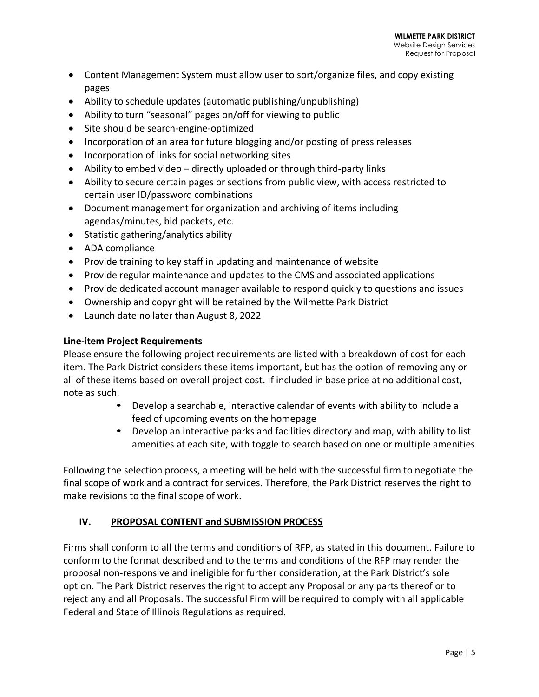- Content Management System must allow user to sort/organize files, and copy existing pages
- Ability to schedule updates (automatic publishing/unpublishing)
- Ability to turn "seasonal" pages on/off for viewing to public
- Site should be search-engine-optimized
- Incorporation of an area for future blogging and/or posting of press releases
- Incorporation of links for social networking sites
- Ability to embed video directly uploaded or through third-party links
- Ability to secure certain pages or sections from public view, with access restricted to certain user ID/password combinations
- Document management for organization and archiving of items including agendas/minutes, bid packets, etc.
- Statistic gathering/analytics ability
- ADA compliance
- Provide training to key staff in updating and maintenance of website
- Provide regular maintenance and updates to the CMS and associated applications
- Provide dedicated account manager available to respond quickly to questions and issues
- Ownership and copyright will be retained by the Wilmette Park District
- Launch date no later than August 8, 2022

#### **Line-item Project Requirements**

Please ensure the following project requirements are listed with a breakdown of cost for each item. The Park District considers these items important, but has the option of removing any or all of these items based on overall project cost. If included in base price at no additional cost, note as such.

- Develop a searchable, interactive calendar of events with ability to include a feed of upcoming events on the homepage
- Develop an interactive parks and facilities directory and map, with ability to list amenities at each site, with toggle to search based on one or multiple amenities

Following the selection process, a meeting will be held with the successful firm to negotiate the final scope of work and a contract for services. Therefore, the Park District reserves the right to make revisions to the final scope of work.

# **IV. PROPOSAL CONTENT and SUBMISSION PROCESS**

Firms shall conform to all the terms and conditions of RFP, as stated in this document. Failure to conform to the format described and to the terms and conditions of the RFP may render the proposal non-responsive and ineligible for further consideration, at the Park District's sole option. The Park District reserves the right to accept any Proposal or any parts thereof or to reject any and all Proposals. The successful Firm will be required to comply with all applicable Federal and State of Illinois Regulations as required.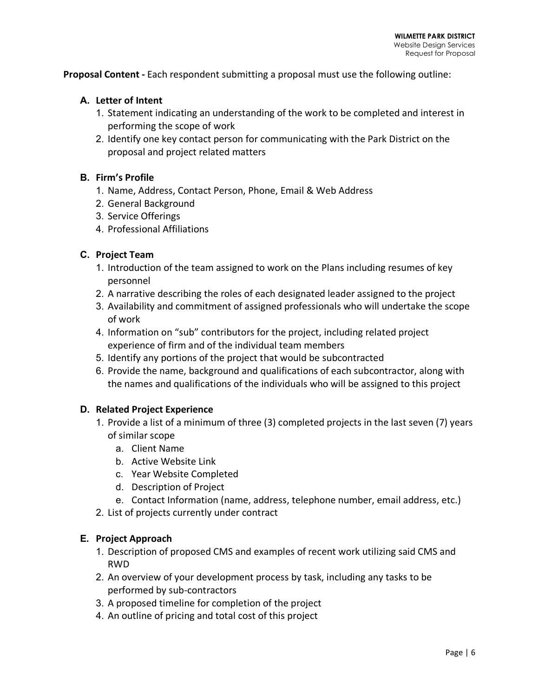**Proposal Content -** Each respondent submitting a proposal must use the following outline:

#### **A. Letter of Intent**

- 1. Statement indicating an understanding of the work to be completed and interest in performing the scope of work
- 2. Identify one key contact person for communicating with the Park District on the proposal and project related matters

#### **B. Firm's Profile**

- 1. Name, Address, Contact Person, Phone, Email & Web Address
- 2. General Background
- 3. Service Offerings
- 4. Professional Affiliations

#### **C. Project Team**

- 1. Introduction of the team assigned to work on the Plans including resumes of key personnel
- 2. A narrative describing the roles of each designated leader assigned to the project
- 3. Availability and commitment of assigned professionals who will undertake the scope of work
- 4. Information on "sub" contributors for the project, including related project experience of firm and of the individual team members
- 5. Identify any portions of the project that would be subcontracted
- 6. Provide the name, background and qualifications of each subcontractor, along with the names and qualifications of the individuals who will be assigned to this project

#### **D. Related Project Experience**

- 1. Provide a list of a minimum of three (3) completed projects in the last seven (7) years of similar scope
	- a. Client Name
	- b. Active Website Link
	- c. Year Website Completed
	- d. Description of Project
	- e. Contact Information (name, address, telephone number, email address, etc.)
- 2. List of projects currently under contract

#### **E. Project Approach**

- 1. Description of proposed CMS and examples of recent work utilizing said CMS and RWD
- 2. An overview of your development process by task, including any tasks to be performed by sub-contractors
- 3. A proposed timeline for completion of the project
- 4. An outline of pricing and total cost of this project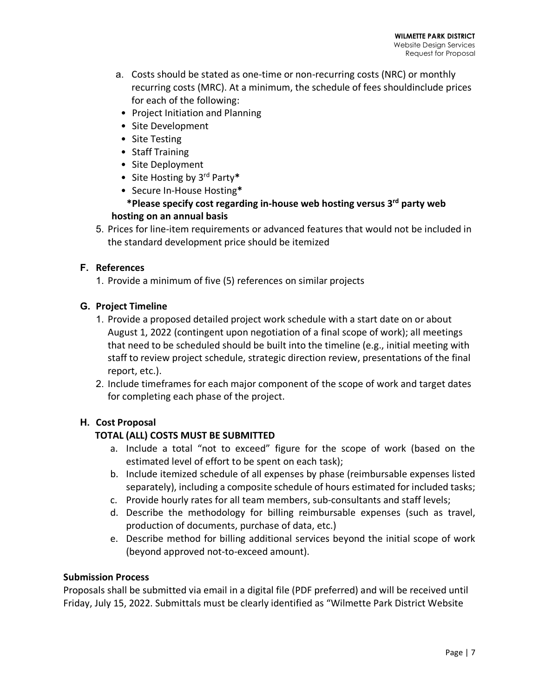- a. Costs should be stated as one-time or non-recurring costs (NRC) or monthly recurring costs (MRC). At a minimum, the schedule of fees shouldinclude prices for each of the following:
	- Project Initiation and Planning
	- Site Development
	- Site Testing
	- Staff Training
	- Site Deployment
	- Site Hosting by 3rd Party**\***
	- Secure In-House Hosting**\***

# **\*Please specify cost regarding in-house web hosting versus 3rd party web hosting on an annual basis**

5. Prices for line-item requirements or advanced features that would not be included in the standard development price should be itemized

# **F. References**

1. Provide a minimum of five (5) references on similar projects

# **G. Project Timeline**

- 1. Provide a proposed detailed project work schedule with a start date on or about August 1, 2022 (contingent upon negotiation of a final scope of work); all meetings that need to be scheduled should be built into the timeline (e.g., initial meeting with staff to review project schedule, strategic direction review, presentations of the final report, etc.).
- 2. Include timeframes for each major component of the scope of work and target dates for completing each phase of the project.

# **H. Cost Proposal**

# **TOTAL (ALL) COSTS MUST BE SUBMITTED**

- a. Include a total "not to exceed" figure for the scope of work (based on the estimated level of effort to be spent on each task);
- b. Include itemized schedule of all expenses by phase (reimbursable expenses listed separately), including a composite schedule of hours estimated for included tasks;
- c. Provide hourly rates for all team members, sub-consultants and staff levels;
- d. Describe the methodology for billing reimbursable expenses (such as travel, production of documents, purchase of data, etc.)
- e. Describe method for billing additional services beyond the initial scope of work (beyond approved not-to-exceed amount).

# **Submission Process**

Proposals shall be submitted via email in a digital file (PDF preferred) and will be received until Friday, July 15, 2022. Submittals must be clearly identified as "Wilmette Park District Website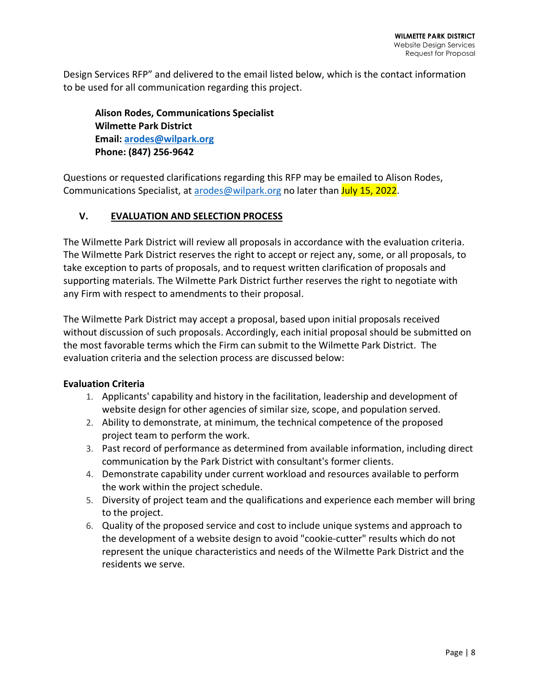Design Services RFP" and delivered to the email listed below, which is the contact information to be used for all communication regarding this project.

**Alison Rodes, Communications Specialist Wilmette Park District Email: arodes@wilpark.org Phone: (847) 256-9642**

Questions or requested clarifications regarding this RFP may be emailed to Alison Rodes, Communications Specialist, at arodes@wilpark.org no later than July 15, 2022.

#### **V. EVALUATION AND SELECTION PROCESS**

The Wilmette Park District will review all proposals in accordance with the evaluation criteria. The Wilmette Park District reserves the right to accept or reject any, some, or all proposals, to take exception to parts of proposals, and to request written clarification of proposals and supporting materials. The Wilmette Park District further reserves the right to negotiate with any Firm with respect to amendments to their proposal.

The Wilmette Park District may accept a proposal, based upon initial proposals received without discussion of such proposals. Accordingly, each initial proposal should be submitted on the most favorable terms which the Firm can submit to the Wilmette Park District. The evaluation criteria and the selection process are discussed below:

#### **Evaluation Criteria**

- 1. Applicants' capability and history in the facilitation, leadership and development of website design for other agencies of similar size, scope, and population served.
- 2. Ability to demonstrate, at minimum, the technical competence of the proposed project team to perform the work.
- 3. Past record of performance as determined from available information, including direct communication by the Park District with consultant's former clients.
- 4. Demonstrate capability under current workload and resources available to perform the work within the project schedule.
- 5. Diversity of project team and the qualifications and experience each member will bring to the project.
- 6. Quality of the proposed service and cost to include unique systems and approach to the development of a website design to avoid "cookie-cutter" results which do not represent the unique characteristics and needs of the Wilmette Park District and the residents we serve.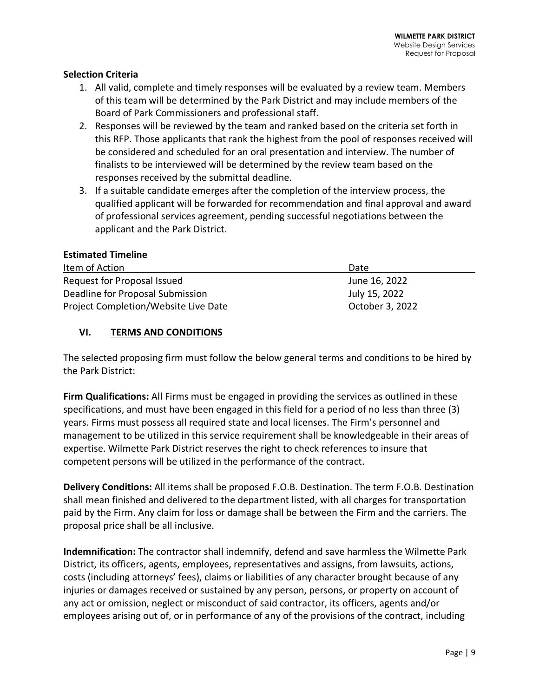#### **Selection Criteria**

- 1. All valid, complete and timely responses will be evaluated by a review team. Members of this team will be determined by the Park District and may include members of the Board of Park Commissioners and professional staff.
- 2. Responses will be reviewed by the team and ranked based on the criteria set forth in this RFP. Those applicants that rank the highest from the pool of responses received will be considered and scheduled for an oral presentation and interview. The number of finalists to be interviewed will be determined by the review team based on the responses received by the submittal deadline.
- 3. If a suitable candidate emerges after the completion of the interview process, the qualified applicant will be forwarded for recommendation and final approval and award of professional services agreement, pending successful negotiations between the applicant and the Park District.

#### **Estimated Timeline**

| Item of Action                       | Date            |
|--------------------------------------|-----------------|
| Request for Proposal Issued          | June 16, 2022   |
| Deadline for Proposal Submission     | July 15, 2022   |
| Project Completion/Website Live Date | October 3, 2022 |

#### **VI. TERMS AND CONDITIONS**

The selected proposing firm must follow the below general terms and conditions to be hired by the Park District:

**Firm Qualifications:** All Firms must be engaged in providing the services as outlined in these specifications, and must have been engaged in this field for a period of no less than three (3) years. Firms must possess all required state and local licenses. The Firm's personnel and management to be utilized in this service requirement shall be knowledgeable in their areas of expertise. Wilmette Park District reserves the right to check references to insure that competent persons will be utilized in the performance of the contract.

**Delivery Conditions:** All items shall be proposed F.O.B. Destination. The term F.O.B. Destination shall mean finished and delivered to the department listed, with all charges for transportation paid by the Firm. Any claim for loss or damage shall be between the Firm and the carriers. The proposal price shall be all inclusive.

**Indemnification:** The contractor shall indemnify, defend and save harmless the Wilmette Park District, its officers, agents, employees, representatives and assigns, from lawsuits, actions, costs (including attorneys' fees), claims or liabilities of any character brought because of any injuries or damages received or sustained by any person, persons, or property on account of any act or omission, neglect or misconduct of said contractor, its officers, agents and/or employees arising out of, or in performance of any of the provisions of the contract, including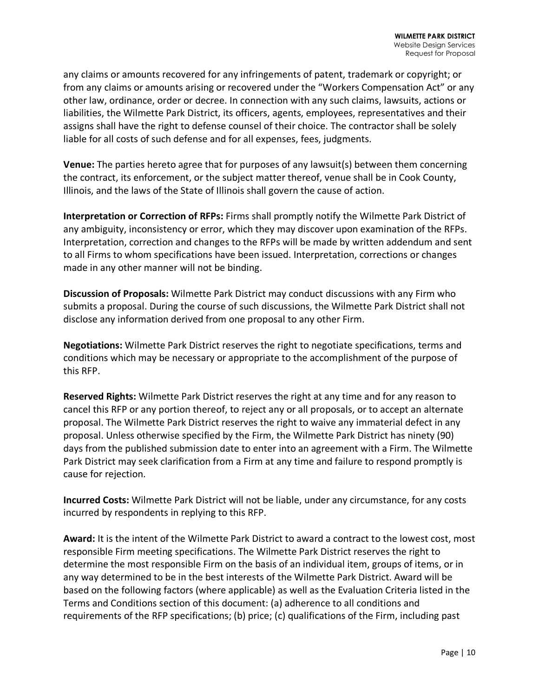any claims or amounts recovered for any infringements of patent, trademark or copyright; or from any claims or amounts arising or recovered under the "Workers Compensation Act" or any other law, ordinance, order or decree. In connection with any such claims, lawsuits, actions or liabilities, the Wilmette Park District, its officers, agents, employees, representatives and their assigns shall have the right to defense counsel of their choice. The contractor shall be solely liable for all costs of such defense and for all expenses, fees, judgments.

**Venue:** The parties hereto agree that for purposes of any lawsuit(s) between them concerning the contract, its enforcement, or the subject matter thereof, venue shall be in Cook County, Illinois, and the laws of the State of Illinois shall govern the cause of action.

**Interpretation or Correction of RFPs:** Firms shall promptly notify the Wilmette Park District of any ambiguity, inconsistency or error, which they may discover upon examination of the RFPs. Interpretation, correction and changes to the RFPs will be made by written addendum and sent to all Firms to whom specifications have been issued. Interpretation, corrections or changes made in any other manner will not be binding.

**Discussion of Proposals:** Wilmette Park District may conduct discussions with any Firm who submits a proposal. During the course of such discussions, the Wilmette Park District shall not disclose any information derived from one proposal to any other Firm.

**Negotiations:** Wilmette Park District reserves the right to negotiate specifications, terms and conditions which may be necessary or appropriate to the accomplishment of the purpose of this RFP.

**Reserved Rights:** Wilmette Park District reserves the right at any time and for any reason to cancel this RFP or any portion thereof, to reject any or all proposals, or to accept an alternate proposal. The Wilmette Park District reserves the right to waive any immaterial defect in any proposal. Unless otherwise specified by the Firm, the Wilmette Park District has ninety (90) days from the published submission date to enter into an agreement with a Firm. The Wilmette Park District may seek clarification from a Firm at any time and failure to respond promptly is cause for rejection.

**Incurred Costs:** Wilmette Park District will not be liable, under any circumstance, for any costs incurred by respondents in replying to this RFP.

**Award:** It is the intent of the Wilmette Park District to award a contract to the lowest cost, most responsible Firm meeting specifications. The Wilmette Park District reserves the right to determine the most responsible Firm on the basis of an individual item, groups of items, or in any way determined to be in the best interests of the Wilmette Park District. Award will be based on the following factors (where applicable) as well as the Evaluation Criteria listed in the Terms and Conditions section of this document: (a) adherence to all conditions and requirements of the RFP specifications; (b) price; (c) qualifications of the Firm, including past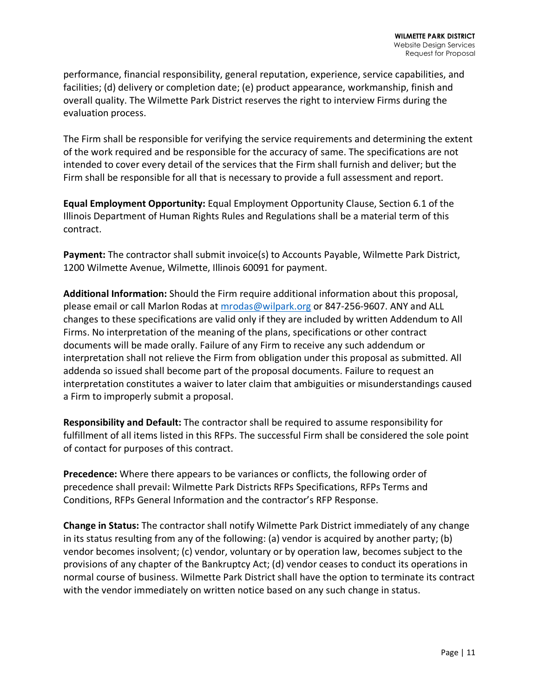performance, financial responsibility, general reputation, experience, service capabilities, and facilities; (d) delivery or completion date; (e) product appearance, workmanship, finish and overall quality. The Wilmette Park District reserves the right to interview Firms during the evaluation process.

The Firm shall be responsible for verifying the service requirements and determining the extent of the work required and be responsible for the accuracy of same. The specifications are not intended to cover every detail of the services that the Firm shall furnish and deliver; but the Firm shall be responsible for all that is necessary to provide a full assessment and report.

**Equal Employment Opportunity:** Equal Employment Opportunity Clause, Section 6.1 of the Illinois Department of Human Rights Rules and Regulations shall be a material term of this contract.

**Payment:** The contractor shall submit invoice(s) to Accounts Payable, Wilmette Park District, 1200 Wilmette Avenue, Wilmette, Illinois 60091 for payment.

**Additional Information:** Should the Firm require additional information about this proposal, please email or call Marlon Rodas at mrodas@wilpark.org or 847-256-9607. ANY and ALL changes to these specifications are valid only if they are included by written Addendum to All Firms. No interpretation of the meaning of the plans, specifications or other contract documents will be made orally. Failure of any Firm to receive any such addendum or interpretation shall not relieve the Firm from obligation under this proposal as submitted. All addenda so issued shall become part of the proposal documents. Failure to request an interpretation constitutes a waiver to later claim that ambiguities or misunderstandings caused a Firm to improperly submit a proposal.

**Responsibility and Default:** The contractor shall be required to assume responsibility for fulfillment of all items listed in this RFPs. The successful Firm shall be considered the sole point of contact for purposes of this contract.

**Precedence:** Where there appears to be variances or conflicts, the following order of precedence shall prevail: Wilmette Park Districts RFPs Specifications, RFPs Terms and Conditions, RFPs General Information and the contractor's RFP Response.

**Change in Status:** The contractor shall notify Wilmette Park District immediately of any change in its status resulting from any of the following: (a) vendor is acquired by another party; (b) vendor becomes insolvent; (c) vendor, voluntary or by operation law, becomes subject to the provisions of any chapter of the Bankruptcy Act; (d) vendor ceases to conduct its operations in normal course of business. Wilmette Park District shall have the option to terminate its contract with the vendor immediately on written notice based on any such change in status.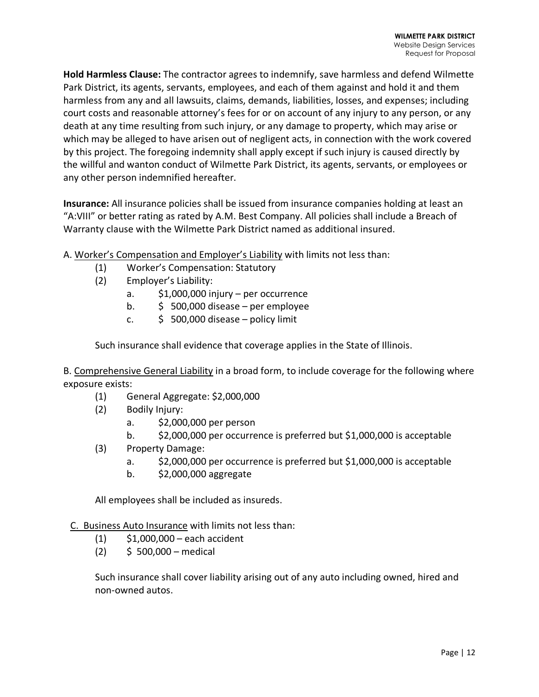**Hold Harmless Clause:** The contractor agrees to indemnify, save harmless and defend Wilmette Park District, its agents, servants, employees, and each of them against and hold it and them harmless from any and all lawsuits, claims, demands, liabilities, losses, and expenses; including court costs and reasonable attorney's fees for or on account of any injury to any person, or any death at any time resulting from such injury, or any damage to property, which may arise or which may be alleged to have arisen out of negligent acts, in connection with the work covered by this project. The foregoing indemnity shall apply except if such injury is caused directly by the willful and wanton conduct of Wilmette Park District, its agents, servants, or employees or any other person indemnified hereafter.

**Insurance:** All insurance policies shall be issued from insurance companies holding at least an "A:VIII" or better rating as rated by A.M. Best Company. All policies shall include a Breach of Warranty clause with the Wilmette Park District named as additional insured.

A. Worker's Compensation and Employer's Liability with limits not less than:

- (1) Worker's Compensation: Statutory
- (2) Employer's Liability:
	- a. \$1,000,000 injury per occurrence
	- b.  $\frac{1}{5}$  500,000 disease per employee
	- c.  $\frac{1}{2}$  500,000 disease policy limit

Such insurance shall evidence that coverage applies in the State of Illinois.

B. Comprehensive General Liability in a broad form, to include coverage for the following where exposure exists:

- (1) General Aggregate: \$2,000,000
- (2) Bodily Injury:
	- a. \$2,000,000 per person
	- b. \$2,000,000 per occurrence is preferred but \$1,000,000 is acceptable
- (3) Property Damage:
	- a. \$2,000,000 per occurrence is preferred but \$1,000,000 is acceptable
	- b. \$2,000,000 aggregate

All employees shall be included as insureds.

C. Business Auto Insurance with limits not less than:

- (1) \$1,000,000 each accident
- $(2)$  \$ 500,000 medical

Such insurance shall cover liability arising out of any auto including owned, hired and non-owned autos.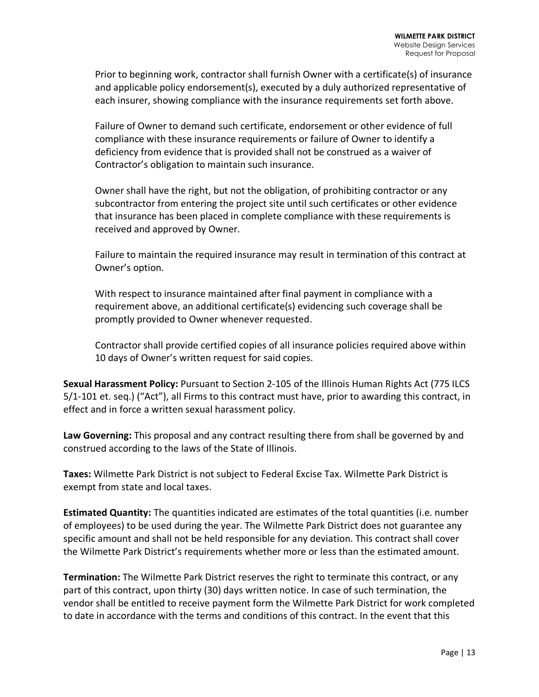Prior to beginning work, contractor shall furnish Owner with a certificate(s) of insurance and applicable policy endorsement(s), executed by a duly authorized representative of each insurer, showing compliance with the insurance requirements set forth above.

Failure of Owner to demand such certificate, endorsement or other evidence of full compliance with these insurance requirements or failure of Owner to identify a deficiency from evidence that is provided shall not be construed as a waiver of Contractor's obligation to maintain such insurance.

Owner shall have the right, but not the obligation, of prohibiting contractor or any subcontractor from entering the project site until such certificates or other evidence that insurance has been placed in complete compliance with these requirements is received and approved by Owner.

Failure to maintain the required insurance may result in termination of this contract at Owner's option.

With respect to insurance maintained after final payment in compliance with a requirement above, an additional certificate(s) evidencing such coverage shall be promptly provided to Owner whenever requested.

Contractor shall provide certified copies of all insurance policies required above within 10 days of Owner's written request for said copies.

**Sexual Harassment Policy:** Pursuant to Section 2-105 of the Illinois Human Rights Act (775 ILCS 5/1-101 et. seq.) ("Act"), all Firms to this contract must have, prior to awarding this contract, in effect and in force a written sexual harassment policy.

**Law Governing:** This proposal and any contract resulting there from shall be governed by and construed according to the laws of the State of Illinois.

**Taxes:** Wilmette Park District is not subject to Federal Excise Tax. Wilmette Park District is exempt from state and local taxes.

**Estimated Quantity:** The quantities indicated are estimates of the total quantities (i.e. number of employees) to be used during the year. The Wilmette Park District does not guarantee any specific amount and shall not be held responsible for any deviation. This contract shall cover the Wilmette Park District's requirements whether more or less than the estimated amount.

**Termination:** The Wilmette Park District reserves the right to terminate this contract, or any part of this contract, upon thirty (30) days written notice. In case of such termination, the vendor shall be entitled to receive payment form the Wilmette Park District for work completed to date in accordance with the terms and conditions of this contract. In the event that this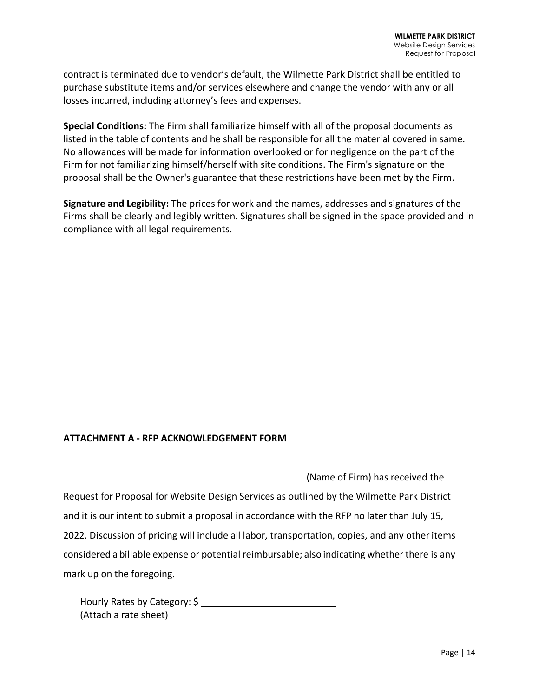contract is terminated due to vendor's default, the Wilmette Park District shall be entitled to purchase substitute items and/or services elsewhere and change the vendor with any or all losses incurred, including attorney's fees and expenses.

**Special Conditions:** The Firm shall familiarize himself with all of the proposal documents as listed in the table of contents and he shall be responsible for all the material covered in same. No allowances will be made for information overlooked or for negligence on the part of the Firm for not familiarizing himself/herself with site conditions. The Firm's signature on the proposal shall be the Owner's guarantee that these restrictions have been met by the Firm.

**Signature and Legibility:** The prices for work and the names, addresses and signatures of the Firms shall be clearly and legibly written. Signatures shall be signed in the space provided and in compliance with all legal requirements.

# **ATTACHMENT A - RFP ACKNOWLEDGEMENT FORM**

(Name of Firm) has received the Request for Proposal for Website Design Services as outlined by the Wilmette Park District and it is our intent to submit a proposal in accordance with the RFP no later than July 15, 2022. Discussion of pricing will include all labor, transportation, copies, and any otheritems considered a billable expense or potential reimbursable; also indicating whether there is any mark up on the foregoing.

Hourly Rates by Category: \$ (Attach a rate sheet)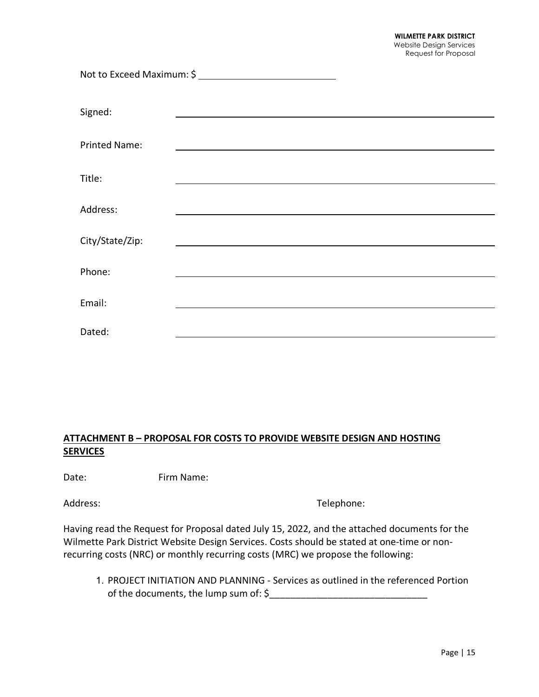| Signed:              |  |
|----------------------|--|
| <b>Printed Name:</b> |  |
| Title:               |  |
| Address:             |  |
| City/State/Zip:      |  |
| Phone:               |  |
| Email:               |  |
| Dated:               |  |

# **ATTACHMENT B – PROPOSAL FOR COSTS TO PROVIDE WEBSITE DESIGN AND HOSTING SERVICES**

Date: Firm Name:

Address: Telephone: Telephone:

Having read the Request for Proposal dated July 15, 2022, and the attached documents for the Wilmette Park District Website Design Services. Costs should be stated at one-time or nonrecurring costs (NRC) or monthly recurring costs (MRC) we propose the following:

1. PROJECT INITIATION AND PLANNING - Services as outlined in the referenced Portion of the documents, the lump sum of:  $\zeta$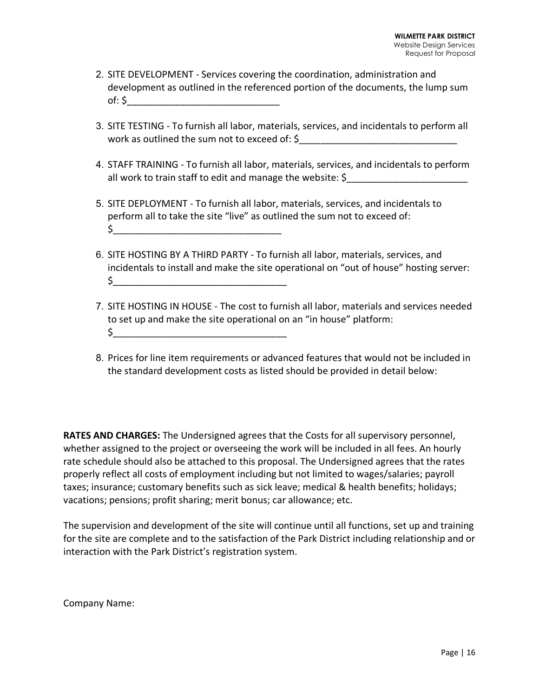- 2. SITE DEVELOPMENT Services covering the coordination, administration and development as outlined in the referenced portion of the documents, the lump sum of:  $\zeta$
- 3. SITE TESTING To furnish all labor, materials, services, and incidentals to perform all work as outlined the sum not to exceed of: \$
- 4. STAFF TRAINING To furnish all labor, materials, services, and incidentals to perform all work to train staff to edit and manage the website:  $\zeta$
- 5. SITE DEPLOYMENT To furnish all labor, materials, services, and incidentals to perform all to take the site "live" as outlined the sum not to exceed of:  $\zeta$
- 6. SITE HOSTING BY A THIRD PARTY To furnish all labor, materials, services, and incidentals to install and make the site operational on "out of house" hosting server: \$\_\_\_\_\_\_\_\_\_\_\_\_\_\_\_\_\_\_\_\_\_\_\_\_\_\_\_\_\_\_\_\_\_
- 7. SITE HOSTING IN HOUSE The cost to furnish all labor, materials and services needed to set up and make the site operational on an "in house" platform:  $\zeta$
- 8. Prices for line item requirements or advanced features that would not be included in the standard development costs as listed should be provided in detail below:

**RATES AND CHARGES:** The Undersigned agrees that the Costs for all supervisory personnel, whether assigned to the project or overseeing the work will be included in all fees. An hourly rate schedule should also be attached to this proposal. The Undersigned agrees that the rates properly reflect all costs of employment including but not limited to wages/salaries; payroll taxes; insurance; customary benefits such as sick leave; medical & health benefits; holidays; vacations; pensions; profit sharing; merit bonus; car allowance; etc.

The supervision and development of the site will continue until all functions, set up and training for the site are complete and to the satisfaction of the Park District including relationship and or interaction with the Park District's registration system.

Company Name: